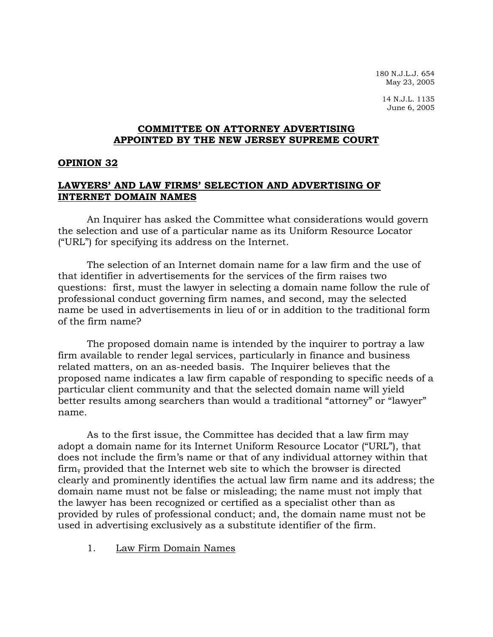180 N.J.L.J. 654 May 23, 2005

14 N.J.L. 1135 June 6, 2005

# **COMMITTEE ON ATTORNEY ADVERTISING APPOINTED BY THE NEW JERSEY SUPREME COURT**

#### **OPINION 32**

## **LAWYERS' AND LAW FIRMS' SELECTION AND ADVERTISING OF INTERNET DOMAIN NAMES**

 An Inquirer has asked the Committee what considerations would govern the selection and use of a particular name as its Uniform Resource Locator ("URL") for specifying its address on the Internet.

 The selection of an Internet domain name for a law firm and the use of that identifier in advertisements for the services of the firm raises two questions: first, must the lawyer in selecting a domain name follow the rule of professional conduct governing firm names, and second, may the selected name be used in advertisements in lieu of or in addition to the traditional form of the firm name?

 The proposed domain name is intended by the inquirer to portray a law firm available to render legal services, particularly in finance and business related matters, on an as-needed basis. The Inquirer believes that the proposed name indicates a law firm capable of responding to specific needs of a particular client community and that the selected domain name will yield better results among searchers than would a traditional "attorney" or "lawyer" name.

 As to the first issue, the Committee has decided that a law firm may adopt a domain name for its Internet Uniform Resource Locator ("URL"), that does not include the firm's name or that of any individual attorney within that firm, provided that the Internet web site to which the browser is directed clearly and prominently identifies the actual law firm name and its address; the domain name must not be false or misleading; the name must not imply that the lawyer has been recognized or certified as a specialist other than as provided by rules of professional conduct; and, the domain name must not be used in advertising exclusively as a substitute identifier of the firm.

#### 1. Law Firm Domain Names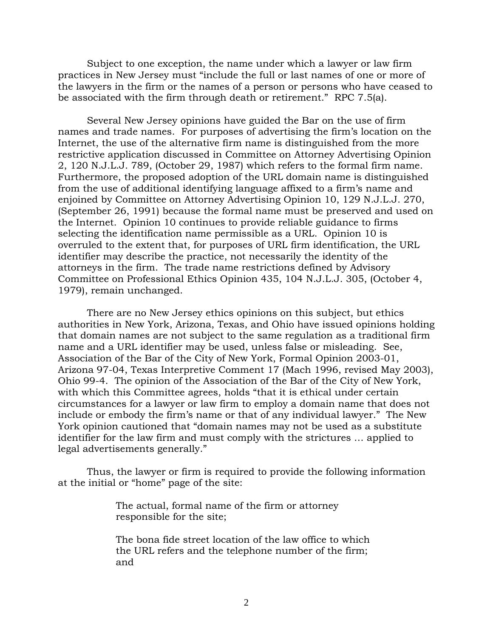Subject to one exception, the name under which a lawyer or law firm practices in New Jersey must "include the full or last names of one or more of the lawyers in the firm or the names of a person or persons who have ceased to be associated with the firm through death or retirement." RPC 7.5(a).

 Several New Jersey opinions have guided the Bar on the use of firm names and trade names. For purposes of advertising the firm's location on the Internet, the use of the alternative firm name is distinguished from the more restrictive application discussed in Committee on Attorney Advertising Opinion 2, 120 N.J.L.J. 789, (October 29, 1987) which refers to the formal firm name. Furthermore, the proposed adoption of the URL domain name is distinguished from the use of additional identifying language affixed to a firm's name and enjoined by Committee on Attorney Advertising Opinion 10, 129 N.J.L.J. 270, (September 26, 1991) because the formal name must be preserved and used on the Internet. Opinion 10 continues to provide reliable guidance to firms selecting the identification name permissible as a URL. Opinion 10 is overruled to the extent that, for purposes of URL firm identification, the URL identifier may describe the practice, not necessarily the identity of the attorneys in the firm. The trade name restrictions defined by Advisory Committee on Professional Ethics Opinion 435, 104 N.J.L.J. 305, (October 4, 1979), remain unchanged.

 There are no New Jersey ethics opinions on this subject, but ethics authorities in New York, Arizona, Texas, and Ohio have issued opinions holding that domain names are not subject to the same regulation as a traditional firm name and a URL identifier may be used, unless false or misleading. See, Association of the Bar of the City of New York, Formal Opinion 2003-01, Arizona 97-04, Texas Interpretive Comment 17 (Mach 1996, revised May 2003), Ohio 99-4. The opinion of the Association of the Bar of the City of New York, with which this Committee agrees, holds "that it is ethical under certain circumstances for a lawyer or law firm to employ a domain name that does not include or embody the firm's name or that of any individual lawyer." The New York opinion cautioned that "domain names may not be used as a substitute identifier for the law firm and must comply with the strictures … applied to legal advertisements generally."

 Thus, the lawyer or firm is required to provide the following information at the initial or "home" page of the site:

> The actual, formal name of the firm or attorney responsible for the site;

The bona fide street location of the law office to which the URL refers and the telephone number of the firm; and